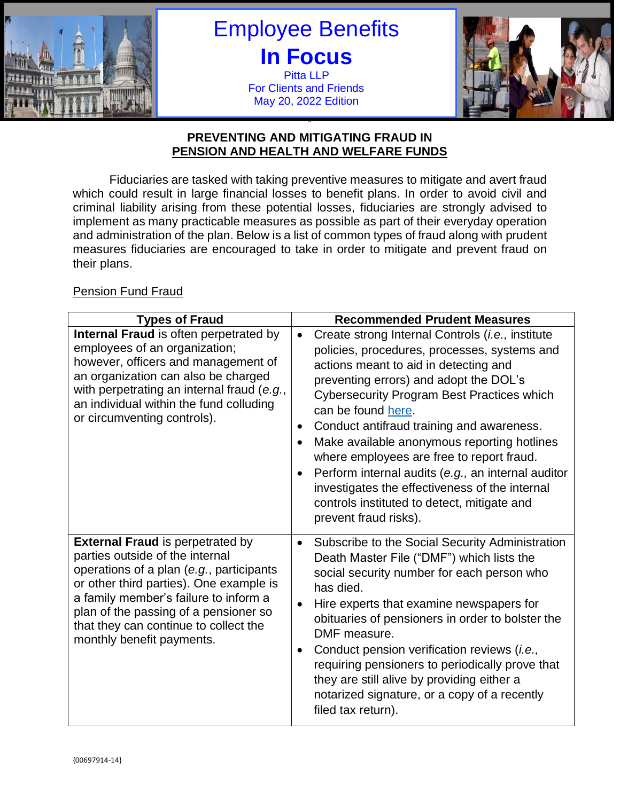

Employee Benefits **In Focus** Pitta LLP For Clients and Friends May 20, 2022 Edition



### " **PREVENTING AND MITIGATING FRAUD IN PENSION AND HEALTH AND WELFARE FUNDS**

Fiduciaries are tasked with taking preventive measures to mitigate and avert fraud which could result in large financial losses to benefit plans. In order to avoid civil and criminal liability arising from these potential losses, fiduciaries are strongly advised to implement as many practicable measures as possible as part of their everyday operation and administration of the plan. Below is a list of common types of fraud along with prudent measures fiduciaries are encouraged to take in order to mitigate and prevent fraud on their plans.

# **Pension Fund Fraud**

| <b>Types of Fraud</b>                                                                                                                                                                                                                                                                                                     | <b>Recommended Prudent Measures</b>                                                                                                                                                                                                                                                                                                                                                                                                                                                                                                                                                                                                 |
|---------------------------------------------------------------------------------------------------------------------------------------------------------------------------------------------------------------------------------------------------------------------------------------------------------------------------|-------------------------------------------------------------------------------------------------------------------------------------------------------------------------------------------------------------------------------------------------------------------------------------------------------------------------------------------------------------------------------------------------------------------------------------------------------------------------------------------------------------------------------------------------------------------------------------------------------------------------------------|
| Internal Fraud is often perpetrated by<br>employees of an organization;<br>however, officers and management of<br>an organization can also be charged<br>with perpetrating an internal fraud (e.g.,<br>an individual within the fund colluding<br>or circumventing controls).                                             | Create strong Internal Controls (i.e., institute<br>$\bullet$<br>policies, procedures, processes, systems and<br>actions meant to aid in detecting and<br>preventing errors) and adopt the DOL's<br><b>Cybersecurity Program Best Practices which</b><br>can be found here.<br>Conduct antifraud training and awareness.<br>٠<br>Make available anonymous reporting hotlines<br>$\bullet$<br>where employees are free to report fraud.<br>Perform internal audits (e.g., an internal auditor<br>$\bullet$<br>investigates the effectiveness of the internal<br>controls instituted to detect, mitigate and<br>prevent fraud risks). |
| <b>External Fraud is perpetrated by</b><br>parties outside of the internal<br>operations of a plan (e.g., participants<br>or other third parties). One example is<br>a family member's failure to inform a<br>plan of the passing of a pensioner so<br>that they can continue to collect the<br>monthly benefit payments. | Subscribe to the Social Security Administration<br>$\bullet$<br>Death Master File ("DMF") which lists the<br>social security number for each person who<br>has died.<br>Hire experts that examine newspapers for<br>obituaries of pensioners in order to bolster the<br>DMF measure.<br>Conduct pension verification reviews (i.e.,<br>$\bullet$<br>requiring pensioners to periodically prove that<br>they are still alive by providing either a<br>notarized signature, or a copy of a recently<br>filed tax return).                                                                                                             |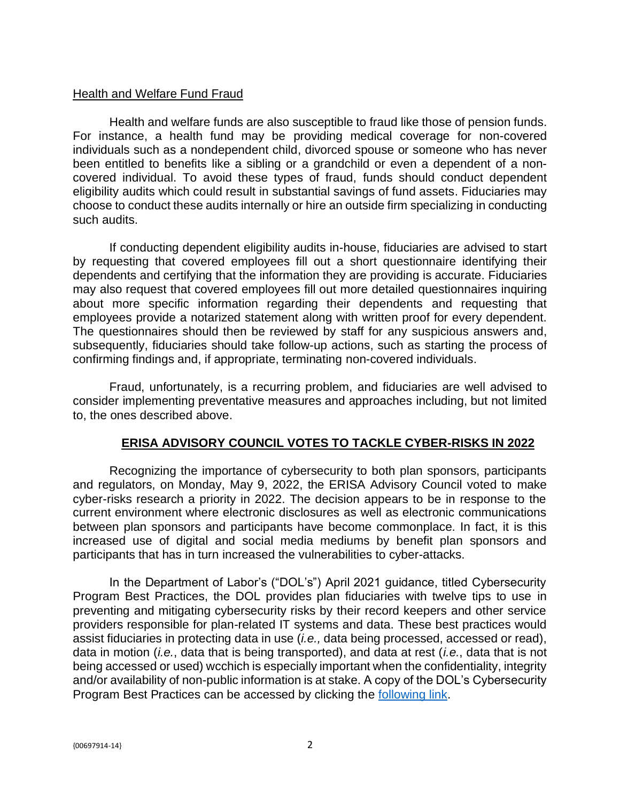### Health and Welfare Fund Fraud

Health and welfare funds are also susceptible to fraud like those of pension funds. For instance, a health fund may be providing medical coverage for non-covered individuals such as a nondependent child, divorced spouse or someone who has never been entitled to benefits like a sibling or a grandchild or even a dependent of a noncovered individual. To avoid these types of fraud, funds should conduct dependent eligibility audits which could result in substantial savings of fund assets. Fiduciaries may choose to conduct these audits internally or hire an outside firm specializing in conducting such audits.

If conducting dependent eligibility audits in-house, fiduciaries are advised to start by requesting that covered employees fill out a short questionnaire identifying their dependents and certifying that the information they are providing is accurate. Fiduciaries may also request that covered employees fill out more detailed questionnaires inquiring about more specific information regarding their dependents and requesting that employees provide a notarized statement along with written proof for every dependent. The questionnaires should then be reviewed by staff for any suspicious answers and, subsequently, fiduciaries should take follow-up actions, such as starting the process of confirming findings and, if appropriate, terminating non-covered individuals.

Fraud, unfortunately, is a recurring problem, and fiduciaries are well advised to consider implementing preventative measures and approaches including, but not limited to, the ones described above.

### **ERISA ADVISORY COUNCIL VOTES TO TACKLE CYBER-RISKS IN 2022**

Recognizing the importance of cybersecurity to both plan sponsors, participants and regulators, on Monday, May 9, 2022, the ERISA Advisory Council voted to make cyber-risks research a priority in 2022. The decision appears to be in response to the current environment where electronic disclosures as well as electronic communications between plan sponsors and participants have become commonplace. In fact, it is this increased use of digital and social media mediums by benefit plan sponsors and participants that has in turn increased the vulnerabilities to cyber-attacks.

In the Department of Labor's ("DOL's") April 2021 guidance, titled Cybersecurity Program Best Practices, the DOL provides plan fiduciaries with twelve tips to use in preventing and mitigating cybersecurity risks by their record keepers and other service providers responsible for plan-related IT systems and data. These best practices would assist fiduciaries in protecting data in use (*i.e.,* data being processed, accessed or read), data in motion (*i.e.*, data that is being transported), and data at rest (*i.e.*, data that is not being accessed or used) wcchich is especially important when the confidentiality, integrity and/or availability of non-public information is at stake. A copy of the DOL's Cybersecurity Program Best Practices can be accessed by clicking the [following link.](https://www.dol.gov/sites/dolgov/files/ebsa/key-topics/retirement-benefits/cybersecurity/best-practices.pdf)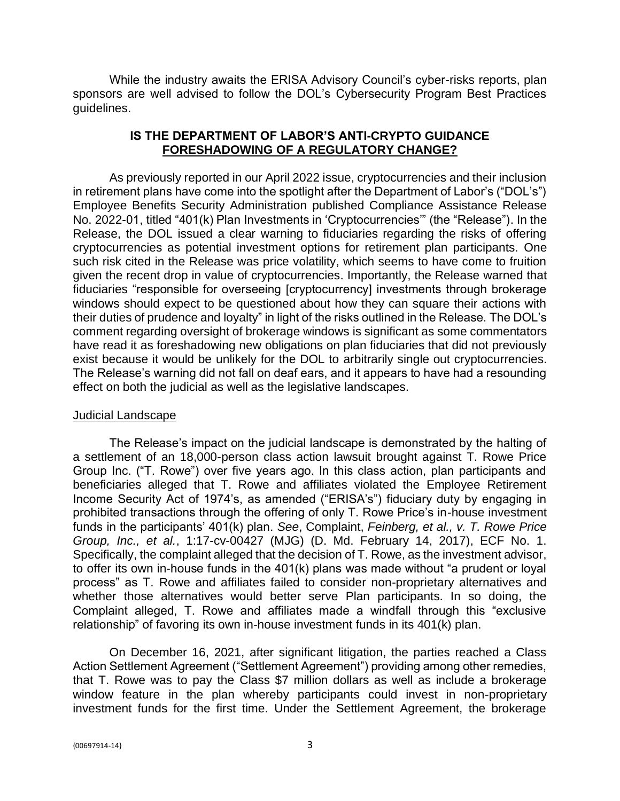While the industry awaits the ERISA Advisory Council's cyber-risks reports, plan sponsors are well advised to follow the DOL's Cybersecurity Program Best Practices guidelines.

## **IS THE DEPARTMENT OF LABOR'S ANTI-CRYPTO GUIDANCE FORESHADOWING OF A REGULATORY CHANGE?**

As previously reported in our April 2022 issue, cryptocurrencies and their inclusion in retirement plans have come into the spotlight after the Department of Labor's ("DOL's") Employee Benefits Security Administration published Compliance Assistance Release No. 2022-01, titled "401(k) Plan Investments in 'Cryptocurrencies'" (the "Release"). In the Release, the DOL issued a clear warning to fiduciaries regarding the risks of offering cryptocurrencies as potential investment options for retirement plan participants. One such risk cited in the Release was price volatility, which seems to have come to fruition given the recent drop in value of cryptocurrencies. Importantly, the Release warned that fiduciaries "responsible for overseeing [cryptocurrency] investments through brokerage windows should expect to be questioned about how they can square their actions with their duties of prudence and loyalty" in light of the risks outlined in the Release. The DOL's comment regarding oversight of brokerage windows is significant as some commentators have read it as foreshadowing new obligations on plan fiduciaries that did not previously exist because it would be unlikely for the DOL to arbitrarily single out cryptocurrencies. The Release's warning did not fall on deaf ears, and it appears to have had a resounding effect on both the judicial as well as the legislative landscapes.

### Judicial Landscape

The Release's impact on the judicial landscape is demonstrated by the halting of a settlement of an 18,000-person class action lawsuit brought against T. Rowe Price Group Inc. ("T. Rowe") over five years ago. In this class action, plan participants and beneficiaries alleged that T. Rowe and affiliates violated the Employee Retirement Income Security Act of 1974's, as amended ("ERISA's") fiduciary duty by engaging in prohibited transactions through the offering of only T. Rowe Price's in-house investment funds in the participants' 401(k) plan. *See*, Complaint, *Feinberg, et al., v. T. Rowe Price Group, Inc., et al.*, 1:17-cv-00427 (MJG) (D. Md. February 14, 2017), ECF No. 1. Specifically, the complaint alleged that the decision of T. Rowe, as the investment advisor, to offer its own in-house funds in the 401(k) plans was made without "a prudent or loyal process" as T. Rowe and affiliates failed to consider non-proprietary alternatives and whether those alternatives would better serve Plan participants. In so doing, the Complaint alleged, T. Rowe and affiliates made a windfall through this "exclusive relationship" of favoring its own in-house investment funds in its 401(k) plan.

On December 16, 2021, after significant litigation, the parties reached a Class Action Settlement Agreement ("Settlement Agreement") providing among other remedies, that T. Rowe was to pay the Class \$7 million dollars as well as include a brokerage window feature in the plan whereby participants could invest in non-proprietary investment funds for the first time. Under the Settlement Agreement, the brokerage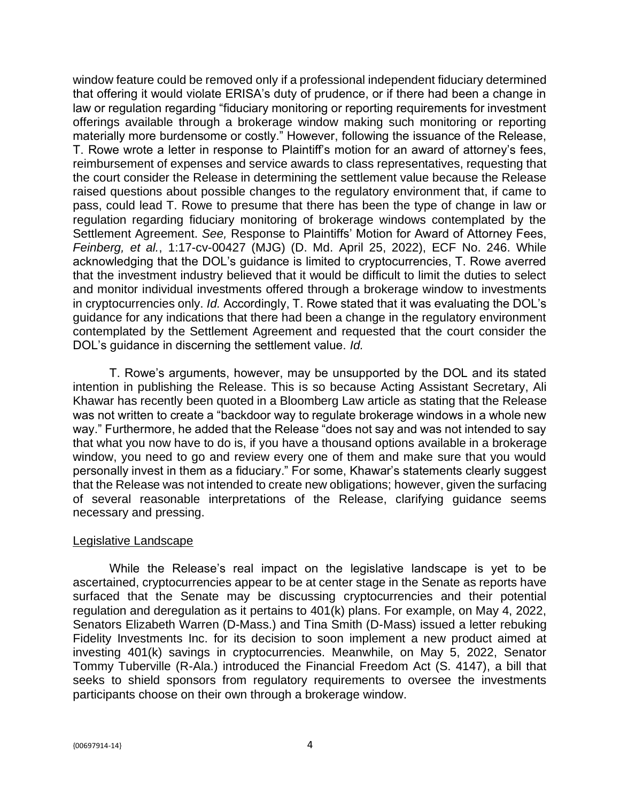window feature could be removed only if a professional independent fiduciary determined that offering it would violate ERISA's duty of prudence, or if there had been a change in law or regulation regarding "fiduciary monitoring or reporting requirements for investment offerings available through a brokerage window making such monitoring or reporting materially more burdensome or costly." However, following the issuance of the Release, T. Rowe wrote a letter in response to Plaintiff's motion for an award of attorney's fees, reimbursement of expenses and service awards to class representatives, requesting that the court consider the Release in determining the settlement value because the Release raised questions about possible changes to the regulatory environment that, if came to pass, could lead T. Rowe to presume that there has been the type of change in law or regulation regarding fiduciary monitoring of brokerage windows contemplated by the Settlement Agreement. *See,* Response to Plaintiffs' Motion for Award of Attorney Fees, *Feinberg, et al.*, 1:17-cv-00427 (MJG) (D. Md. April 25, 2022), ECF No. 246. While acknowledging that the DOL's guidance is limited to cryptocurrencies, T. Rowe averred that the investment industry believed that it would be difficult to limit the duties to select and monitor individual investments offered through a brokerage window to investments in cryptocurrencies only. *Id.* Accordingly, T. Rowe stated that it was evaluating the DOL's guidance for any indications that there had been a change in the regulatory environment contemplated by the Settlement Agreement and requested that the court consider the DOL's guidance in discerning the settlement value. *Id.*

T. Rowe's arguments, however, may be unsupported by the DOL and its stated intention in publishing the Release. This is so because Acting Assistant Secretary, Ali Khawar has recently been quoted in a Bloomberg Law article as stating that the Release was not written to create a "backdoor way to regulate brokerage windows in a whole new way." Furthermore, he added that the Release "does not say and was not intended to say that what you now have to do is, if you have a thousand options available in a brokerage window, you need to go and review every one of them and make sure that you would personally invest in them as a fiduciary." For some, Khawar's statements clearly suggest that the Release was not intended to create new obligations; however, given the surfacing of several reasonable interpretations of the Release, clarifying guidance seems necessary and pressing.

### Legislative Landscape

While the Release's real impact on the legislative landscape is yet to be ascertained, cryptocurrencies appear to be at center stage in the Senate as reports have surfaced that the Senate may be discussing cryptocurrencies and their potential regulation and deregulation as it pertains to 401(k) plans. For example, on May 4, 2022, Senators Elizabeth Warren (D-Mass.) and Tina Smith (D-Mass) issued a letter rebuking Fidelity Investments Inc. for its decision to soon implement a new product aimed at investing 401(k) savings in cryptocurrencies. Meanwhile, on May 5, 2022, Senator Tommy Tuberville (R-Ala.) introduced the Financial Freedom Act (S. 4147), a bill that seeks to shield sponsors from regulatory requirements to oversee the investments participants choose on their own through a brokerage window.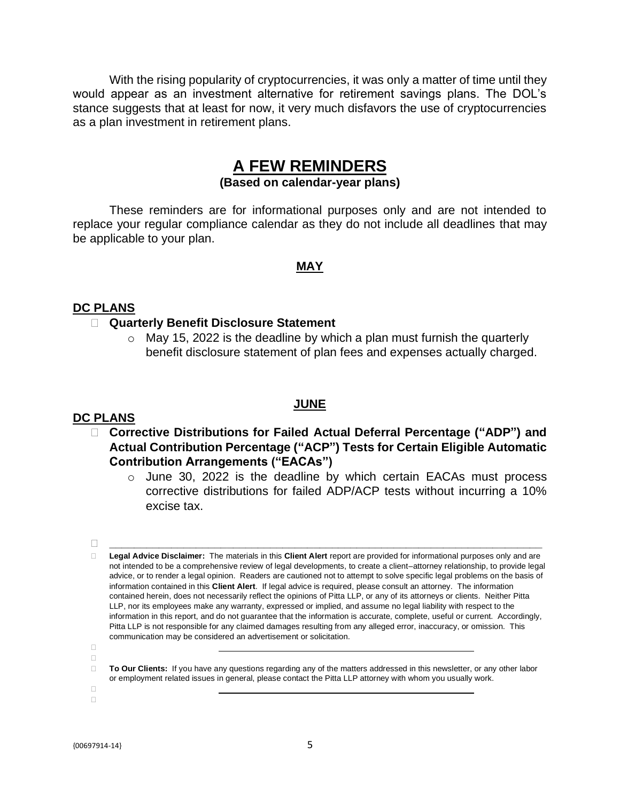With the rising popularity of cryptocurrencies, it was only a matter of time until they would appear as an investment alternative for retirement savings plans. The DOL's stance suggests that at least for now, it very much disfavors the use of cryptocurrencies as a plan investment in retirement plans.

# **A FEW REMINDERS**

# **(Based on calendar-year plans)**

These reminders are for informational purposes only and are not intended to replace your regular compliance calendar as they do not include all deadlines that may be applicable to your plan.

### **MAY**

### **DC PLANS**

### **Quarterly Benefit Disclosure Statement**

 $\circ$  May 15, 2022 is the deadline by which a plan must furnish the quarterly benefit disclosure statement of plan fees and expenses actually charged.

### **JUNE**

### **DC PLANS**

 **Corrective Distributions for Failed Actual Deferral Percentage ("ADP") and Actual Contribution Percentage ("ACP") Tests for Certain Eligible Automatic Contribution Arrangements ("EACAs")**

o June 30, 2022 is the deadline by which certain EACAs must process corrective distributions for failed ADP/ACP tests without incurring a 10% excise tax.

**\_\_\_\_\_\_\_\_\_\_\_\_\_\_\_\_\_\_\_\_\_\_\_\_\_\_\_\_\_\_\_\_\_\_\_\_\_\_\_\_\_\_\_\_\_\_\_\_\_\_\_\_\_\_\_\_\_\_\_\_\_\_\_\_\_\_\_\_\_\_**

 $\Box$  $\Box$ 

> **To Our Clients:** If you have any questions regarding any of the matters addressed in this newsletter, or any other labor or employment related issues in general, please contact the Pitta LLP attorney with whom you usually work.

 $\Box$  $\Box$ 

**Legal Advice Disclaimer:** The materials in this **Client Alert** report are provided for informational purposes only and are not intended to be a comprehensive review of legal developments, to create a client–attorney relationship, to provide legal advice, or to render a legal opinion. Readers are cautioned not to attempt to solve specific legal problems on the basis of information contained in this **Client Alert**. If legal advice is required, please consult an attorney. The information contained herein, does not necessarily reflect the opinions of Pitta LLP, or any of its attorneys or clients. Neither Pitta LLP, nor its employees make any warranty, expressed or implied, and assume no legal liability with respect to the information in this report, and do not guarantee that the information is accurate, complete, useful or current. Accordingly, Pitta LLP is not responsible for any claimed damages resulting from any alleged error, inaccuracy, or omission. This communication may be considered an advertisement or solicitation.